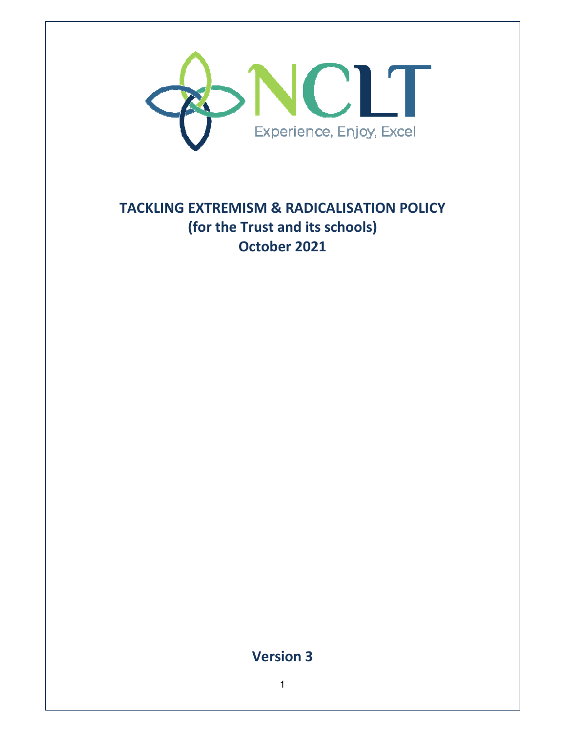

# **TACKLING EXTREMISM & RADICALISATION POLICY (for the Trust and its schools) October 2021**

**Version 3**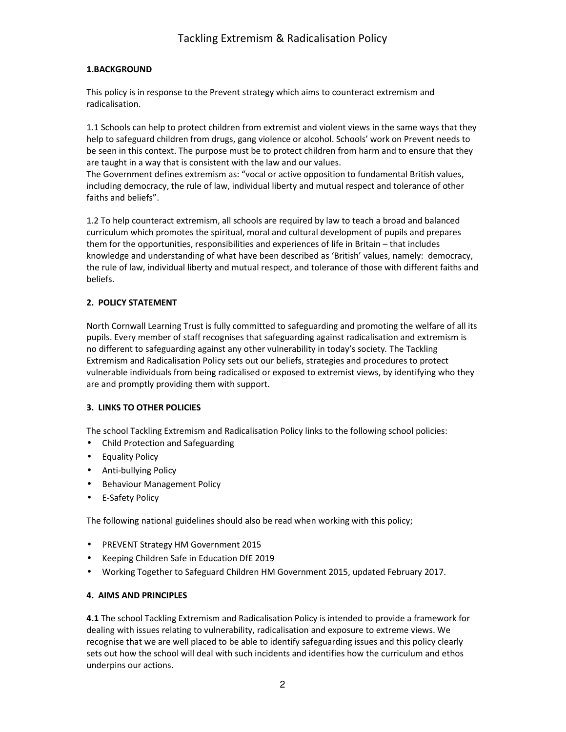## **1.BACKGROUND**

This policy is in response to the Prevent strategy which aims to counteract extremism and radicalisation.

1.1 Schools can help to protect children from extremist and violent views in the same ways that they help to safeguard children from drugs, gang violence or alcohol. Schools' work on Prevent needs to be seen in this context. The purpose must be to protect children from harm and to ensure that they are taught in a way that is consistent with the law and our values.

The Government defines extremism as: "vocal or active opposition to fundamental British values, including democracy, the rule of law, individual liberty and mutual respect and tolerance of other faiths and beliefs".

1.2 To help counteract extremism, all schools are required by law to teach a broad and balanced curriculum which promotes the spiritual, moral and cultural development of pupils and prepares them for the opportunities, responsibilities and experiences of life in Britain – that includes knowledge and understanding of what have been described as 'British' values, namely: democracy, the rule of law, individual liberty and mutual respect, and tolerance of those with different faiths and beliefs.

## **2. POLICY STATEMENT**

North Cornwall Learning Trust is fully committed to safeguarding and promoting the welfare of all its pupils. Every member of staff recognises that safeguarding against radicalisation and extremism is no different to safeguarding against any other vulnerability in today's society*.* The Tackling Extremism and Radicalisation Policy sets out our beliefs, strategies and procedures to protect vulnerable individuals from being radicalised or exposed to extremist views, by identifying who they are and promptly providing them with support.

#### **3. LINKS TO OTHER POLICIES**

The school Tackling Extremism and Radicalisation Policy links to the following school policies:

- Child Protection and Safeguarding
- Equality Policy
- Anti-bullying Policy
- Behaviour Management Policy
- E-Safety Policy

The following national guidelines should also be read when working with this policy;

- PREVENT Strategy HM Government 2015
- Keeping Children Safe in Education DfE 2019
- Working Together to Safeguard Children HM Government 2015, updated February 2017.

#### **4. AIMS AND PRINCIPLES**

**4.1** The school Tackling Extremism and Radicalisation Policy is intended to provide a framework for dealing with issues relating to vulnerability, radicalisation and exposure to extreme views. We recognise that we are well placed to be able to identify safeguarding issues and this policy clearly sets out how the school will deal with such incidents and identifies how the curriculum and ethos underpins our actions.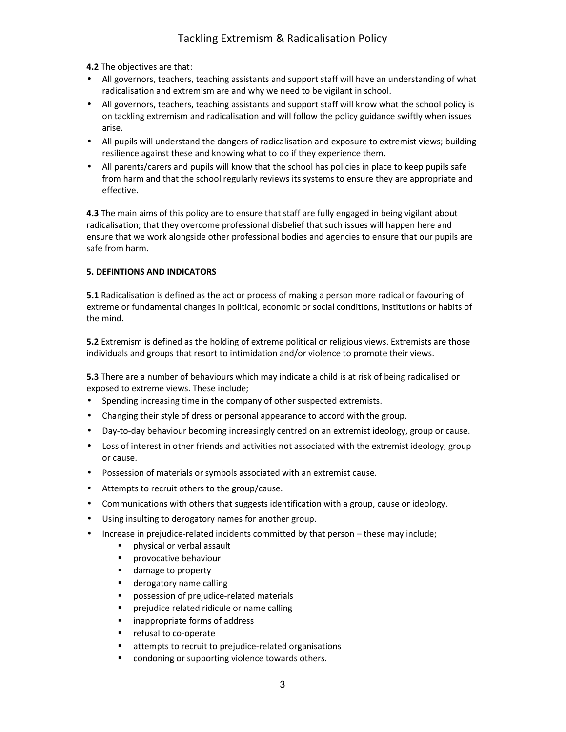**4.2** The objectives are that:

- All governors, teachers, teaching assistants and support staff will have an understanding of what radicalisation and extremism are and why we need to be vigilant in school.
- All governors, teachers, teaching assistants and support staff will know what the school policy is on tackling extremism and radicalisation and will follow the policy guidance swiftly when issues arise.
- All pupils will understand the dangers of radicalisation and exposure to extremist views; building resilience against these and knowing what to do if they experience them.
- All parents/carers and pupils will know that the school has policies in place to keep pupils safe from harm and that the school regularly reviews its systems to ensure they are appropriate and effective.

**4.3** The main aims of this policy are to ensure that staff are fully engaged in being vigilant about radicalisation; that they overcome professional disbelief that such issues will happen here and ensure that we work alongside other professional bodies and agencies to ensure that our pupils are safe from harm.

## **5. DEFINTIONS AND INDICATORS**

**5.1** Radicalisation is defined as the act or process of making a person more radical or favouring of extreme or fundamental changes in political, economic or social conditions, institutions or habits of the mind.

**5.2** Extremism is defined as the holding of extreme political or religious views. Extremists are those individuals and groups that resort to intimidation and/or violence to promote their views.

**5.3** There are a number of behaviours which may indicate a child is at risk of being radicalised or exposed to extreme views. These include;

- Spending increasing time in the company of other suspected extremists.
- Changing their style of dress or personal appearance to accord with the group.
- Day-to-day behaviour becoming increasingly centred on an extremist ideology, group or cause.
- Loss of interest in other friends and activities not associated with the extremist ideology, group or cause.
- Possession of materials or symbols associated with an extremist cause.
- Attempts to recruit others to the group/cause.
- Communications with others that suggests identification with a group, cause or ideology.
- Using insulting to derogatory names for another group.
- Increase in prejudice-related incidents committed by that person these may include;
	- physical or verbal assault
	- **P** provocative behaviour
	- **damage to property**
	- **derogatory name calling**
	- possession of prejudice-related materials
	- prejudice related ridicule or name calling
	- **EXEC** inappropriate forms of address
	- **F** refusal to co-operate
	- attempts to recruit to prejudice-related organisations
	- condoning or supporting violence towards others.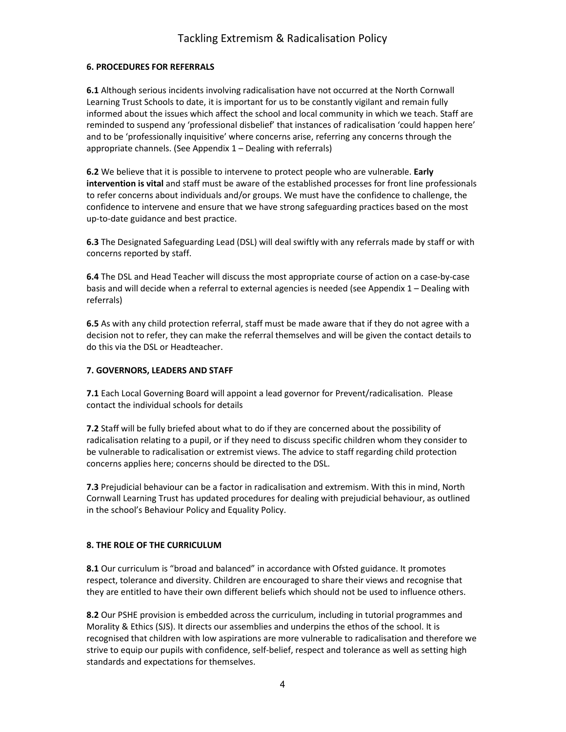#### **6. PROCEDURES FOR REFERRALS**

**6.1** Although serious incidents involving radicalisation have not occurred at the North Cornwall Learning Trust Schools to date, it is important for us to be constantly vigilant and remain fully informed about the issues which affect the school and local community in which we teach. Staff are reminded to suspend any 'professional disbelief' that instances of radicalisation 'could happen here' and to be 'professionally inquisitive' where concerns arise, referring any concerns through the appropriate channels. (See Appendix 1 – Dealing with referrals)

**6.2** We believe that it is possible to intervene to protect people who are vulnerable. **Early intervention is vital** and staff must be aware of the established processes for front line professionals to refer concerns about individuals and/or groups. We must have the confidence to challenge, the confidence to intervene and ensure that we have strong safeguarding practices based on the most up-to-date guidance and best practice.

**6.3** The Designated Safeguarding Lead (DSL) will deal swiftly with any referrals made by staff or with concerns reported by staff.

**6.4** The DSL and Head Teacher will discuss the most appropriate course of action on a case-by-case basis and will decide when a referral to external agencies is needed (see Appendix 1 – Dealing with referrals)

**6.5** As with any child protection referral, staff must be made aware that if they do not agree with a decision not to refer, they can make the referral themselves and will be given the contact details to do this via the DSL or Headteacher.

#### **7. GOVERNORS, LEADERS AND STAFF**

**7.1** Each Local Governing Board will appoint a lead governor for Prevent/radicalisation. Please contact the individual schools for details

**7.2** Staff will be fully briefed about what to do if they are concerned about the possibility of radicalisation relating to a pupil, or if they need to discuss specific children whom they consider to be vulnerable to radicalisation or extremist views. The advice to staff regarding child protection concerns applies here; concerns should be directed to the DSL.

**7.3** Prejudicial behaviour can be a factor in radicalisation and extremism. With this in mind, North Cornwall Learning Trust has updated procedures for dealing with prejudicial behaviour, as outlined in the school's Behaviour Policy and Equality Policy.

#### **8. THE ROLE OF THE CURRICULUM**

**8.1** Our curriculum is "broad and balanced" in accordance with Ofsted guidance. It promotes respect, tolerance and diversity. Children are encouraged to share their views and recognise that they are entitled to have their own different beliefs which should not be used to influence others.

**8.2** Our PSHE provision is embedded across the curriculum, including in tutorial programmes and Morality & Ethics (SJS). It directs our assemblies and underpins the ethos of the school. It is recognised that children with low aspirations are more vulnerable to radicalisation and therefore we strive to equip our pupils with confidence, self-belief, respect and tolerance as well as setting high standards and expectations for themselves.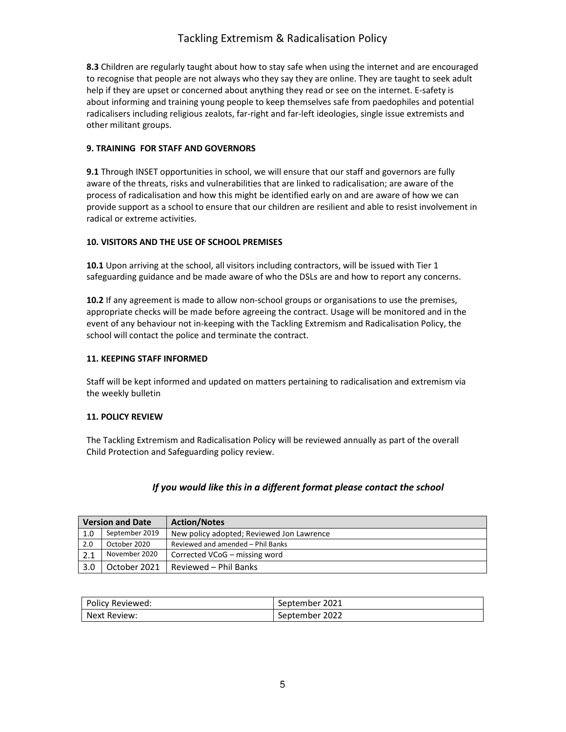# Tackling Extremism & Radicalisation Policy

**8.3** Children are regularly taught about how to stay safe when using the internet and are encouraged to recognise that people are not always who they say they are online. They are taught to seek adult help if they are upset or concerned about anything they read or see on the internet. E-safety is about informing and training young people to keep themselves safe from paedophiles and potential radicalisers including religious zealots, far-right and far-left ideologies, single issue extremists and other militant groups.

#### **9. TRAINING FOR STAFF AND GOVERNORS**

**9.1** Through INSET opportunities in school, we will ensure that our staff and governors are fully aware of the threats, risks and vulnerabilities that are linked to radicalisation; are aware of the process of radicalisation and how this might be identified early on and are aware of how we can provide support as a school to ensure that our children are resilient and able to resist involvement in radical or extreme activities.

#### **10. VISITORS AND THE USE OF SCHOOL PREMISES**

**10.1** Upon arriving at the school, all visitors including contractors, will be issued with Tier 1 safeguarding guidance and be made aware of who the DSLs are and how to report any concerns.

**10.2** If any agreement is made to allow non-school groups or organisations to use the premises, appropriate checks will be made before agreeing the contract. Usage will be monitored and in the event of any behaviour not in-keeping with the Tackling Extremism and Radicalisation Policy, the school will contact the police and terminate the contract.

#### **11. KEEPING STAFF INFORMED**

Staff will be kept informed and updated on matters pertaining to radicalisation and extremism via the weekly bulletin

#### **11. POLICY REVIEW**

The Tackling Extremism and Radicalisation Policy will be reviewed annually as part of the overall Child Protection and Safeguarding policy review.

#### *If you would like this in a different format please contact the school*

| <b>Version and Date</b> |                | <b>Action/Notes</b>                       |
|-------------------------|----------------|-------------------------------------------|
| 1.0                     | September 2019 | New policy adopted; Reviewed Jon Lawrence |
| 2.0                     | October 2020   | Reviewed and amended - Phil Banks         |
|                         | November 2020  | Corrected VCoG - missing word             |
| 3.0                     | October 2021   | Reviewed - Phil Banks                     |

| Policy Reviewed: | September 2021 |
|------------------|----------------|
| Next Review:     | September 2022 |